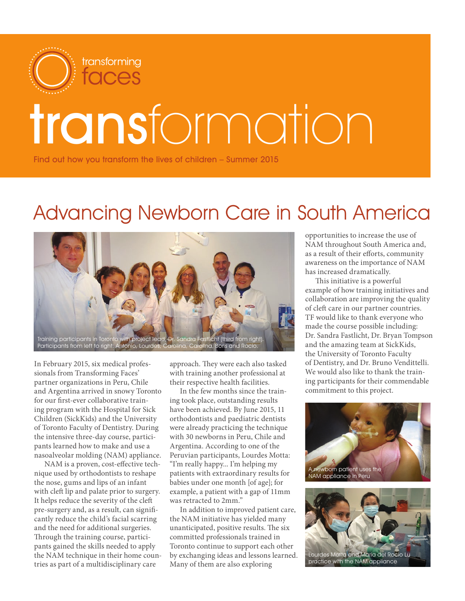

# transformation

Find out how you transform the lives of children – Summer 2015

## Advancing Newborn Care in South America



In February 2015, six medical professionals from Transforming Faces' partner organizations in Peru, Chile and Argentina arrived in snowy Toronto for our first-ever collaborative training program with the Hospital for Sick Children (SickKids) and the University of Toronto Faculty of Dentistry. During the intensive three-day course, participants learned how to make and use a nasoalveolar molding (NAM) appliance.

NAM is a proven, cost-effective technique used by orthodontists to reshape the nose, gums and lips of an infant with cleft lip and palate prior to surgery. It helps reduce the severity of the cleft pre-surgery and, as a result, can significantly reduce the child's facial scarring and the need for additional surgeries. Through the training course, participants gained the skills needed to apply the NAM technique in their home countries as part of a multidisciplinary care

approach. They were each also tasked with training another professional at their respective health facilities.

In the few months since the training took place, outstanding results have been achieved. By June 2015, 11 orthodontists and paediatric dentists were already practicing the technique with 30 newborns in Peru, Chile and Argentina. According to one of the Peruvian participants, Lourdes Motta: "I'm really happy... I'm helping my patients with extraordinary results for babies under one month [of age]; for example, a patient with a gap of 11mm was retracted to 2mm."

In addition to improved patient care, the NAM initiative has yielded many unanticipated, positive results. The six committed professionals trained in Toronto continue to support each other by exchanging ideas and lessons learned. Many of them are also exploring

opportunities to increase the use of NAM throughout South America and, as a result of their efforts, community awareness on the importance of NAM has increased dramatically.

This initiative is a powerful example of how training initiatives and collaboration are improving the quality of cleft care in our partner countries. TF would like to thank everyone who made the course possible including: Dr. Sandra Fastlicht, Dr. Bryan Tompson and the amazing team at SickKids, the University of Toronto Faculty of Dentistry, and Dr. Bruno Vendittelli. We would also like to thank the training participants for their commendable commitment to this project.



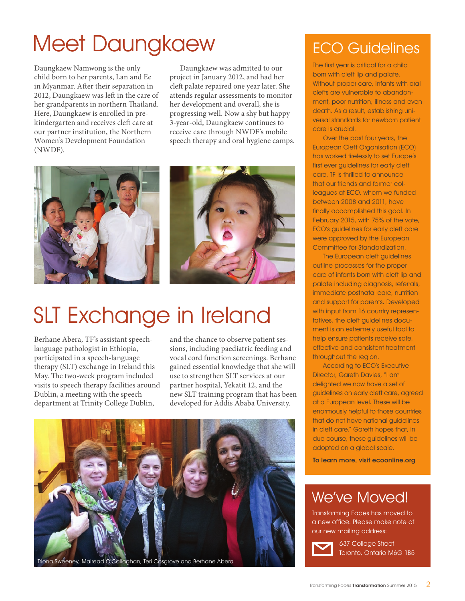# Meet Daungkaew

Daungkaew Namwong is the only child born to her parents, Lan and Ee in Myanmar. After their separation in 2012, Daungkaew was left in the care of her grandparents in northern Thailand. Here, Daungkaew is enrolled in prekindergarten and receives cleft care at our partner institution, the Northern Women's Development Foundation (NWDF).

Daungkaew was admitted to our project in January 2012, and had her cleft palate repaired one year later. She attends regular assessments to monitor her development and overall, she is progressing well. Now a shy but happy 3-year-old, Daungkaew continues to receive care through NWDF's mobile speech therapy and oral hygiene camps.



# SLT Exchange in Ireland

Berhane Abera, TF's assistant speechlanguage pathologist in Ethiopia, participated in a speech-language therapy (SLT) exchange in Ireland this May. The two-week program included visits to speech therapy facilities around Dublin, a meeting with the speech department at Trinity College Dublin,

and the chance to observe patient sessions, including paediatric feeding and vocal cord function screenings. Berhane gained essential knowledge that she will use to strengthen SLT services at our partner hospital, Yekatit 12, and the new SLT training program that has been developed for Addis Ababa University.



#### ECO Guidelines

The first year is critical for a child born with cleft lip and palate. Without proper care, infants with oral clefts are vulnerable to abandonment, poor nutrition, illness and even death. As a result, establishing universal standards for newborn patient care is crucial.

Over the past four years, the European Cleft Organisation (ECO) has worked tirelessly to set Europe's first ever guidelines for early cleft care. TF is thrilled to announce that our friends and former colleagues at ECO, whom we funded between 2008 and 2011, have finally accomplished this goal. In February 2015, with 75% of the vote, ECO's guidelines for early cleft care were approved by the European Committee for Standardization.

The European cleft guidelines outline processes for the proper care of infants born with cleft lip and palate including diagnosis, referrals, immediate postnatal care, nutrition and support for parents. Developed with input from 16 country representatives, the cleft guidelines document is an extremely useful tool to help ensure patients receive safe, effective and consistent treatment throughout the region.

According to ECO's Executive Director, Gareth Davies, "I am delighted we now have a set of guidelines on early cleft care, agreed at a European level. These will be enormously helpful to those countries that do not have national guidelines in cleft care." Gareth hopes that, in due course, these guidelines will be adopted on a global scale.

To learn more, visit ecoonline.org

#### We've Moved!

Transforming Faces has moved to a new office. Please make note of our new mailing address:



637 College Street Toronto, Ontario M6G 1B5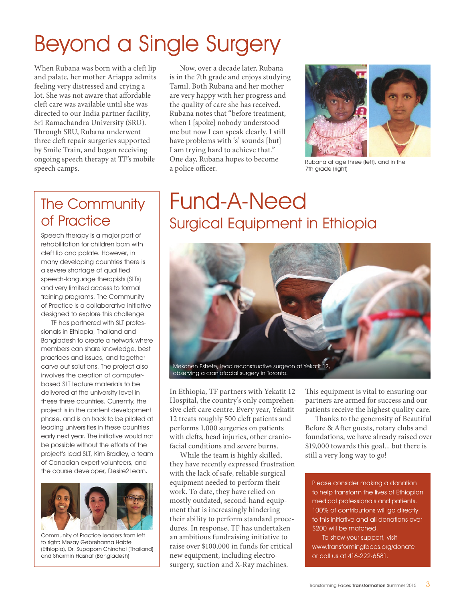# Beyond a Single Surgery

When Rubana was born with a cleft lip and palate, her mother Ariappa admits feeling very distressed and crying a lot. She was not aware that affordable cleft care was available until she was directed to our India partner facility, Sri Ramachandra University (SRU). Through SRU, Rubana underwent three cleft repair surgeries supported by Smile Train, and began receiving ongoing speech therapy at TF's mobile speech camps.

#### The Community of Practice

Speech therapy is a major part of rehabilitation for children born with cleft lip and palate. However, in many developing countries there is a severe shortage of qualified speech-language therapists (SLTs) and very limited access to formal training programs. The Community of Practice is a collaborative initiative designed to explore this challenge.

TF has partnered with SLT professionals in Ethiopia, Thailand and Bangladesh to create a network where members can share knowledge, best practices and issues, and together carve out solutions. The project also involves the creation of computerbased SLT lecture materials to be delivered at the university level in these three countries. Currently, the project is in the content development phase, and is on track to be piloted at leading universities in these countries early next year. The initiative would not be possible without the efforts of the project's lead SLT, Kim Bradley, a team of Canadian expert volunteers, and the course developer, Desire2Learn.



Community of Practice leaders from left to right: Mesay Gebrehanna Habte (Ethiopia), Dr. Supaporn Chinchai (Thailand) and Sharmin Hasnat (Bangladesh)

Now, over a decade later, Rubana is in the 7th grade and enjoys studying Tamil. Both Rubana and her mother are very happy with her progress and the quality of care she has received. Rubana notes that "before treatment, when I [spoke] nobody understood me but now I can speak clearly. I still have problems with 's' sounds [but] I am trying hard to achieve that." One day, Rubana hopes to become a police officer.



Rubana at age three (left), and in the 7th grade (right)

### Fund-A-Need Surgical Equipment in Ethiopia



In Ethiopia, TF partners with Yekatit 12 Hospital, the country's only comprehensive cleft care centre. Every year, Yekatit 12 treats roughly 500 cleft patients and performs 1,000 surgeries on patients with clefts, head injuries, other craniofacial conditions and severe burns.

While the team is highly skilled, they have recently expressed frustration with the lack of safe, reliable surgical equipment needed to perform their work. To date, they have relied on mostly outdated, second-hand equipment that is increasingly hindering their ability to perform standard procedures. In response, TF has undertaken an ambitious fundraising initiative to raise over \$100,000 in funds for critical new equipment, including electrosurgery, suction and X-Ray machines.

This equipment is vital to ensuring our partners are armed for success and our patients receive the highest quality care.

Thanks to the generosity of Beautiful Before & After guests, rotary clubs and foundations, we have already raised over \$19,000 towards this goal... but there is still a very long way to go!

Please consider making a donation to help transform the lives of Ethiopian medical professionals and patients. 100% of contributions will go directly to this initiative and all donations over \$200 will be matched.

To show your support, visit www.transformingfaces.org/donate or call us at 416-222-6581.